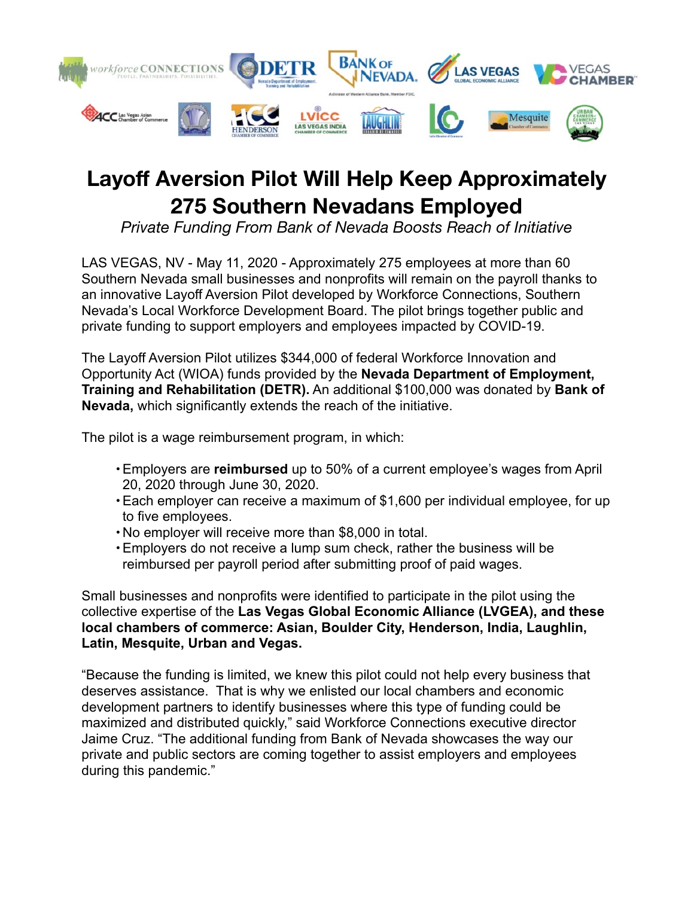

# **Layoff Aversion Pilot Will Help Keep Approximately 275 Southern Nevadans Employed**

*Private Funding From Bank of Nevada Boosts Reach of Initiative*

LAS VEGAS, NV - May 11, 2020 - Approximately 275 employees at more than 60 Southern Nevada small businesses and nonprofits will remain on the payroll thanks to an innovative Layoff Aversion Pilot developed by Workforce Connections, Southern Nevada's Local Workforce Development Board. The pilot brings together public and private funding to support employers and employees impacted by COVID-19.

The Layoff Aversion Pilot utilizes \$344,000 of federal Workforce Innovation and Opportunity Act (WIOA) funds provided by the **Nevada Department of Employment, Training and Rehabilitation (DETR).** An additional \$100,000 was donated by **Bank of Nevada,** which significantly extends the reach of the initiative.

The pilot is a wage reimbursement program, in which:

- •Employers are **reimbursed** up to 50% of a current employee's wages from April 20, 2020 through June 30, 2020.
- •Each employer can receive a maximum of \$1,600 per individual employee, for up to five employees.
- No employer will receive more than \$8,000 in total.
- •Employers do not receive a lump sum check, rather the business will be reimbursed per payroll period after submitting proof of paid wages.

Small businesses and nonprofits were identified to participate in the pilot using the collective expertise of the **Las Vegas Global Economic Alliance (LVGEA), and these local chambers of commerce: Asian, Boulder City, Henderson, India, Laughlin, Latin, Mesquite, Urban and Vegas.** 

"Because the funding is limited, we knew this pilot could not help every business that deserves assistance. That is why we enlisted our local chambers and economic development partners to identify businesses where this type of funding could be maximized and distributed quickly," said Workforce Connections executive director Jaime Cruz. "The additional funding from Bank of Nevada showcases the way our private and public sectors are coming together to assist employers and employees during this pandemic."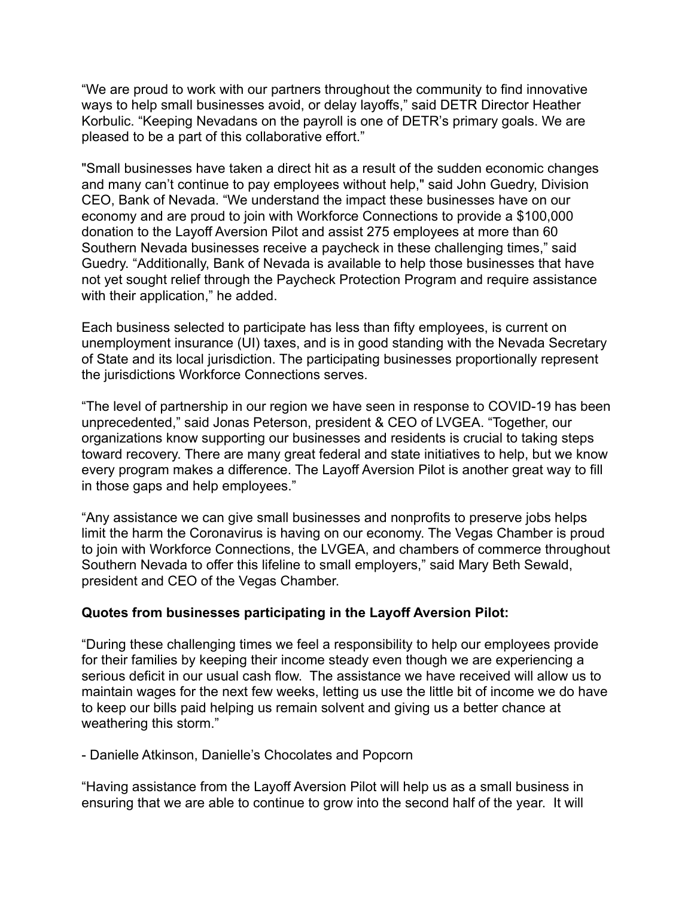"We are proud to work with our partners throughout the community to find innovative ways to help small businesses avoid, or delay layoffs," said DETR Director Heather Korbulic. "Keeping Nevadans on the payroll is one of DETR's primary goals. We are pleased to be a part of this collaborative effort."

"Small businesses have taken a direct hit as a result of the sudden economic changes and many can't continue to pay employees without help," said John Guedry, Division CEO, Bank of Nevada. "We understand the impact these businesses have on our economy and are proud to join with Workforce Connections to provide a \$100,000 donation to the Layoff Aversion Pilot and assist 275 employees at more than 60 Southern Nevada businesses receive a paycheck in these challenging times," said Guedry. "Additionally, Bank of Nevada is available to help those businesses that have not yet sought relief through the Paycheck Protection Program and require assistance with their application," he added.

Each business selected to participate has less than fifty employees, is current on unemployment insurance (UI) taxes, and is in good standing with the Nevada Secretary of State and its local jurisdiction. The participating businesses proportionally represent the jurisdictions Workforce Connections serves.

"The level of partnership in our region we have seen in response to COVID-19 has been unprecedented," said Jonas Peterson, president & CEO of LVGEA. "Together, our organizations know supporting our businesses and residents is crucial to taking steps toward recovery. There are many great federal and state initiatives to help, but we know every program makes a difference. The Layoff Aversion Pilot is another great way to fill in those gaps and help employees."

"Any assistance we can give small businesses and nonprofits to preserve jobs helps limit the harm the Coronavirus is having on our economy. The Vegas Chamber is proud to join with Workforce Connections, the LVGEA, and chambers of commerce throughout Southern Nevada to offer this lifeline to small employers," said Mary Beth Sewald, president and CEO of the Vegas Chamber.

# **Quotes from businesses participating in the Layoff Aversion Pilot:**

"During these challenging times we feel a responsibility to help our employees provide for their families by keeping their income steady even though we are experiencing a serious deficit in our usual cash flow. The assistance we have received will allow us to maintain wages for the next few weeks, letting us use the little bit of income we do have to keep our bills paid helping us remain solvent and giving us a better chance at weathering this storm."

- Danielle Atkinson, Danielle's Chocolates and Popcorn

"Having assistance from the Layoff Aversion Pilot will help us as a small business in ensuring that we are able to continue to grow into the second half of the year. It will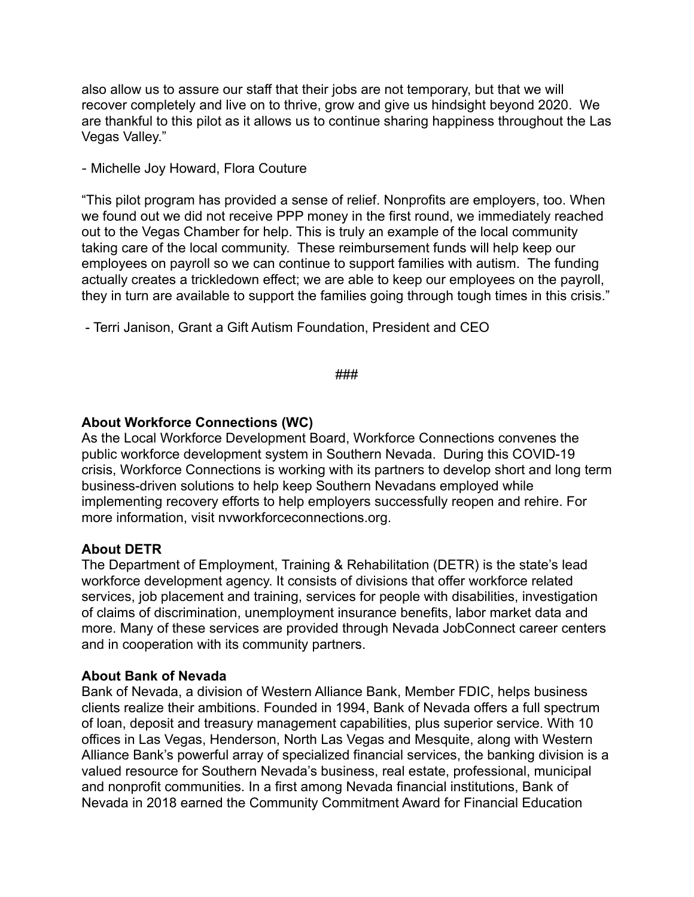also allow us to assure our staff that their jobs are not temporary, but that we will recover completely and live on to thrive, grow and give us hindsight beyond 2020. We are thankful to this pilot as it allows us to continue sharing happiness throughout the Las Vegas Valley."

- Michelle Joy Howard, Flora Couture

"This pilot program has provided a sense of relief. Nonprofits are employers, too. When we found out we did not receive PPP money in the first round, we immediately reached out to the Vegas Chamber for help. This is truly an example of the local community taking care of the local community. These reimbursement funds will help keep our employees on payroll so we can continue to support families with autism. The funding actually creates a trickledown effect; we are able to keep our employees on the payroll, they in turn are available to support the families going through tough times in this crisis."

- Terri Janison, Grant a Gift Autism Foundation, President and CEO

###

# **About Workforce Connections (WC)**

As the Local Workforce Development Board, Workforce Connections convenes the public workforce development system in Southern Nevada. During this COVID-19 crisis, Workforce Connections is working with its partners to develop short and long term business-driven solutions to help keep Southern Nevadans employed while implementing recovery efforts to help employers successfully reopen and rehire. For more information, visit [nvworkforceconnections.org](http://www.nvworkforceconnections.org).

# **About DETR**

The Department of Employment, Training & Rehabilitation (DETR) is the state's lead workforce development agency. It consists of divisions that offer workforce related services, job placement and training, services for people with disabilities, investigation of claims of discrimination, unemployment insurance benefits, labor market data and more. Many of these services are provided through Nevada JobConnect career centers and in cooperation with its community partners.

# **About Bank of Nevada**

Bank of Nevada, a division of Western Alliance Bank, Member FDIC, helps business clients realize their ambitions. Founded in 1994, Bank of Nevada offers a full spectrum of loan, deposit and treasury management capabilities, plus superior service. With 10 offices in Las Vegas, Henderson, North Las Vegas and Mesquite, along with Western Alliance Bank's powerful array of specialized financial services, the banking division is a valued resource for Southern Nevada's business, real estate, professional, municipal and nonprofit communities. In a first among Nevada financial institutions, Bank of Nevada in 2018 earned the Community Commitment Award for Financial Education